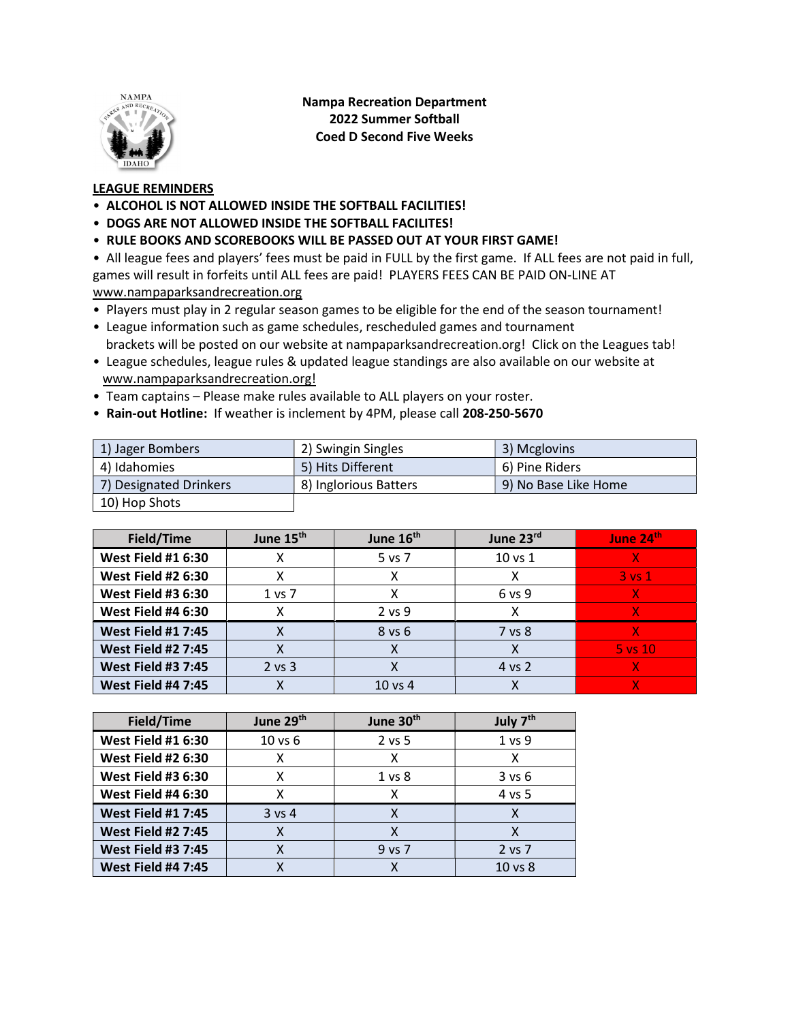

Nampa Recreation Department 2022 Summer Softball Coed D Second Five Weeks

## LEAGUE REMINDERS

- ALCOHOL IS NOT ALLOWED INSIDE THE SOFTBALL FACILITIES!
- DOGS ARE NOT ALLOWED INSIDE THE SOFTBALL FACILITES!
- RULE BOOKS AND SCOREBOOKS WILL BE PASSED OUT AT YOUR FIRST GAME!

• All league fees and players' fees must be paid in FULL by the first game. If ALL fees are not paid in full, games will result in forfeits until ALL fees are paid! PLAYERS FEES CAN BE PAID ON-LINE AT www.nampaparksandrecreation.org

- Players must play in 2 regular season games to be eligible for the end of the season tournament!
- League information such as game schedules, rescheduled games and tournament brackets will be posted on our website at nampaparksandrecreation.org! Click on the Leagues tab!
- League schedules, league rules & updated league standings are also available on our website at www.nampaparksandrecreation.org!
- Team captains Please make rules available to ALL players on your roster.
- Rain-out Hotline: If weather is inclement by 4PM, please call 208-250-5670

| 1) Jager Bombers       | 2) Swingin Singles    | 3) Mcglovins         |
|------------------------|-----------------------|----------------------|
| 4) Idahomies           | 5) Hits Different     | 6) Pine Riders       |
| 7) Designated Drinkers | 8) Inglorious Batters | 9) No Base Like Home |
| 10) Hop Shots          |                       |                      |

| Field/Time                | June 15 <sup>th</sup> | June 16 <sup>th</sup> | June 23rd   | June 24th   |
|---------------------------|-----------------------|-----------------------|-------------|-------------|
| <b>West Field #1 6:30</b> |                       | 5 vs 7                | $10$ vs $1$ |             |
| <b>West Field #2 6:30</b> |                       |                       |             | $3$ vs $1$  |
| <b>West Field #3 6:30</b> | 1 vs 7                |                       | 6 vs 9      |             |
| <b>West Field #4 6:30</b> |                       | $2$ vs $9$            |             |             |
| <b>West Field #1 7:45</b> |                       | $8$ vs $6$            | 7 vs 8      |             |
| <b>West Field #2 7:45</b> |                       |                       |             | $5$ vs $10$ |
| <b>West Field #3 7:45</b> | $2$ vs $3$            |                       | 4 vs 2      |             |
| <b>West Field #4 7:45</b> |                       | $10 \text{ vs } 4$    |             |             |

| Field/Time                | June 29 <sup>th</sup> | June 30 <sup>th</sup> | July 7 <sup>th</sup> |
|---------------------------|-----------------------|-----------------------|----------------------|
| <b>West Field #1 6:30</b> | $10$ vs $6$           | 2 vs 5                | 1 <sub>vs</sub> 9    |
| <b>West Field #2 6:30</b> |                       | χ                     |                      |
| <b>West Field #3 6:30</b> |                       | 1 <sub>vs</sub> 8     | $3$ vs $6$           |
| <b>West Field #4 6:30</b> |                       | x                     | 4 vs 5               |
| <b>West Field #1 7:45</b> | $3$ vs 4              | X                     |                      |
| <b>West Field #2 7:45</b> |                       | Χ                     |                      |
| <b>West Field #3 7:45</b> |                       | 9 vs 7                | 2 vs 7               |
| <b>West Field #4 7:45</b> |                       |                       | 10 vs 8              |